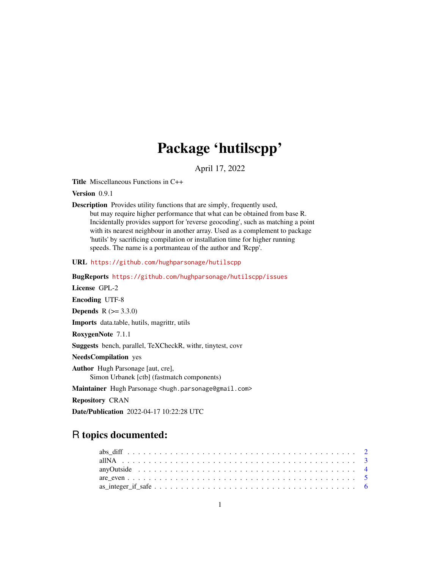# Package 'hutilscpp'

April 17, 2022

<span id="page-0-0"></span>Title Miscellaneous Functions in C++

Version 0.9.1

Description Provides utility functions that are simply, frequently used, but may require higher performance that what can be obtained from base R. Incidentally provides support for 'reverse geocoding', such as matching a point with its nearest neighbour in another array. Used as a complement to package 'hutils' by sacrificing compilation or installation time for higher running speeds. The name is a portmanteau of the author and 'Rcpp'.

URL <https://github.com/hughparsonage/hutilscpp>

BugReports <https://github.com/hughparsonage/hutilscpp/issues>

License GPL-2 Encoding UTF-8

**Depends**  $R (= 3.3.0)$ 

Imports data.table, hutils, magrittr, utils

RoxygenNote 7.1.1

Suggests bench, parallel, TeXCheckR, withr, tinytest, covr

NeedsCompilation yes

Author Hugh Parsonage [aut, cre], Simon Urbanek [ctb] (fastmatch components)

Maintainer Hugh Parsonage <hugh.parsonage@gmail.com>

Repository CRAN

Date/Publication 2022-04-17 10:22:28 UTC

# R topics documented: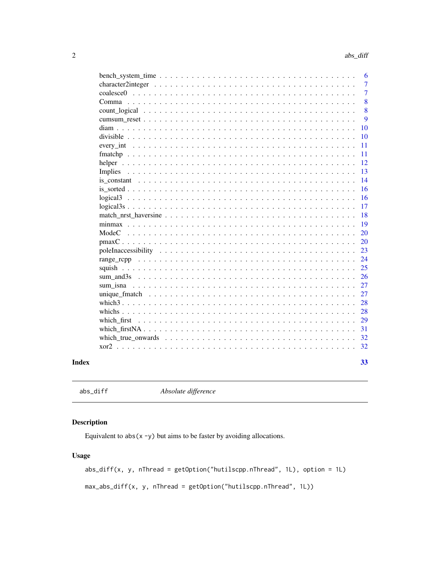<span id="page-1-0"></span>

|                                                                                            | 6              |
|--------------------------------------------------------------------------------------------|----------------|
|                                                                                            | 7              |
|                                                                                            | $\overline{7}$ |
|                                                                                            | 8              |
|                                                                                            | 8              |
|                                                                                            | 9              |
| 10                                                                                         |                |
| 10<br>divisible $\ldots$                                                                   |                |
| 11<br>every int $\ldots$<br>.<br>$\mathbf{L}$<br>$\ddot{\phantom{a}}$                      |                |
| 11                                                                                         |                |
| 12<br>helper                                                                               |                |
| 13<br>Implies                                                                              |                |
| 14                                                                                         |                |
| 16                                                                                         |                |
| 16                                                                                         |                |
| 17<br>$logical3s$                                                                          |                |
| 18                                                                                         |                |
| 19                                                                                         |                |
| 20<br>ModeC<br>.<br>$\ddot{\phantom{0}}$                                                   |                |
| 20                                                                                         |                |
| 23                                                                                         |                |
| 24                                                                                         |                |
| 25                                                                                         |                |
| 26                                                                                         |                |
| 27<br>sum isna                                                                             |                |
| 27                                                                                         |                |
| 28<br>which $3 \ldots \ldots \ldots$                                                       |                |
| 28<br>whichs $\ldots$ $\ldots$<br>.<br>$\mathbf{1}$ $\mathbf{1}$ $\mathbf{1}$ $\mathbf{1}$ |                |
| 29<br>which first                                                                          |                |
| 31                                                                                         |                |
| 32                                                                                         |                |
| 32                                                                                         |                |
| 33                                                                                         |                |
|                                                                                            |                |

# **Index**

```
abs\_diff
```
Absolute difference

# **Description**

Equivalent to  $abs(x - y)$  but aims to be faster by avoiding allocations.

# **Usage**

 $abs\_diff(x, y, nThread = getOption("hutilscpp.nThread", 1L), option = 1L)$ max\_abs\_diff(x, y, nThread = getOption("hutilscpp.nThread", 1L))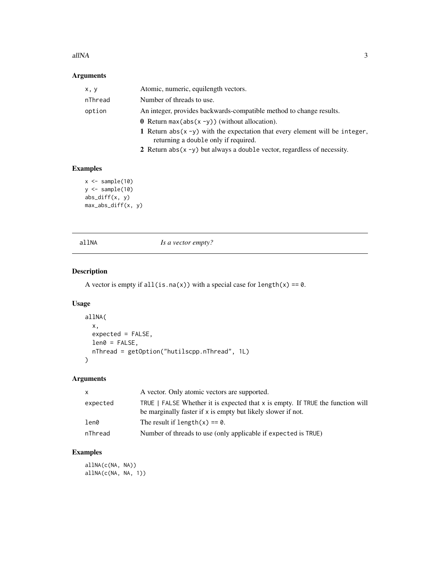#### <span id="page-2-0"></span> $allNA$  3

# Arguments

| x, y    | Atomic, numeric, equilength vectors.                                                                                    |
|---------|-------------------------------------------------------------------------------------------------------------------------|
| nThread | Number of threads to use.                                                                                               |
| option  | An integer, provides backwards-compatible method to change results.                                                     |
|         | <b>0</b> Return max (abs $(x - y)$ ) (without allocation).                                                              |
|         | 1 Return abs $(x - y)$ with the expectation that every element will be integer,<br>returning a double only if required. |
|         | 2 Return $abs(x - y)$ but always a double vector, regardless of necessity.                                              |

# Examples

```
x \leftarrow sample(10)
y <- sample(10)
abs_diff(x, y)
max_abs_diff(x, y)
```
allNA *Is a vector empty?* 

# Description

A vector is empty if all(is.na(x)) with a special case for length(x) ==  $0$ .

# Usage

```
allNA(
  x,
  expected = FALSE,
  len@ = FALSE,nThread = getOption("hutilscpp.nThread", 1L)
\mathcal{L}
```
# Arguments

| X        | A vector. Only atomic vectors are supported.                                                                                                     |
|----------|--------------------------------------------------------------------------------------------------------------------------------------------------|
| expected | TRUE   FALSE Whether it is expected that $x$ is empty. If TRUE the function will<br>be marginally faster if x is empty but likely slower if not. |
| len0     | The result if length(x) == $\theta$ .                                                                                                            |
| nThread  | Number of threads to use (only applicable if expected is TRUE)                                                                                   |

# Examples

allNA(c(NA, NA)) allNA(c(NA, NA, 1))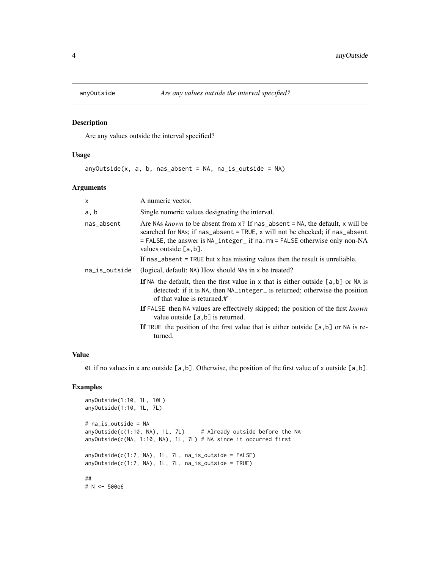<span id="page-3-0"></span>

Are any values outside the interval specified?

#### Usage

anyOutside(x, a, b, nas\_absent = NA, na\_is\_outside = NA)

# Arguments

| Single numeric values designating the interval.<br>Are NAs known to be absent from $x$ ? If nas_absent = NA, the default, x will be<br>searched for NAs; if nas_absent = TRUE, x will not be checked; if nas_absent |
|---------------------------------------------------------------------------------------------------------------------------------------------------------------------------------------------------------------------|
|                                                                                                                                                                                                                     |
| = FALSE, the answer is NA_integer_ if na.rm = FALSE otherwise only non-NA                                                                                                                                           |
| If $nas\_absent = TRUE$ but x has missing values then the result is unreliable.                                                                                                                                     |
| (logical, default: NA) How should NAs in x be treated?                                                                                                                                                              |
| If NA the default, then the first value in x that is either outside $[a, b]$ or NA is<br>detected: if it is NA, then NA_integer_ is returned; otherwise the position                                                |
| If FALSE then NA values are effectively skipped; the position of the first known<br>value outside $[a, b]$ is returned.                                                                                             |
| If TRUE the position of the first value that is either outside $[a,b]$ or NA is re-                                                                                                                                 |
|                                                                                                                                                                                                                     |

#### Value

0L if no values in x are outside [a,b]. Otherwise, the position of the first value of x outside [a,b].

# Examples

```
anyOutside(1:10, 1L, 10L)
anyOutside(1:10, 1L, 7L)
# na_is_outside = NA
anyOutside(c(1:10, NA), 1L, 7L) # Already outside before the NA
anyOutside(c(NA, 1:10, NA), 1L, 7L) # NA since it occurred first
anyOutside(c(1:7, NA), 1L, 7L, na_is_outside = FALSE)
anyOutside(c(1:7, NA), 1L, 7L, na_is_outside = TRUE)
##
# N <- 500e6
```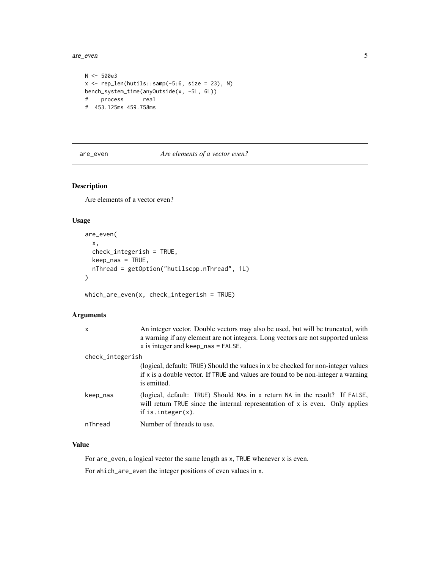<span id="page-4-0"></span>are\_even 5

```
N < -500e3x \leftarrow rep\_len(hutils:: samp(-5:6, size = 23), N)bench_system_time(anyOutside(x, -5L, 6L))
# process real
# 453.125ms 459.758ms
```
are\_even *Are elements of a vector even?*

# Description

Are elements of a vector even?

#### Usage

```
are_even(
  x,
  check_integerish = TRUE,
  keep_nas = TRUE,
  nThread = getOption("hutilscpp.nThread", 1L)
\mathcal{E}
```
which\_are\_even(x, check\_integerish = TRUE)

# Arguments

| $\mathsf{x}$     | An integer vector. Double vectors may also be used, but will be truncated, with<br>a warning if any element are not integers. Long vectors are not supported unless<br>$x$ is integer and keep_nas = FALSE. |
|------------------|-------------------------------------------------------------------------------------------------------------------------------------------------------------------------------------------------------------|
| check_integerish |                                                                                                                                                                                                             |
|                  | (logical, default: TRUE) Should the values in x be checked for non-integer values<br>if x is a double vector. If TRUE and values are found to be non-integer a warning<br>is emitted.                       |
| keep_nas         | (logical, default: TRUE) Should NAs in x return NA in the result? If FALSE,<br>will return TRUE since the internal representation of $x$ is even. Only applies<br>if is. $integer(x)$ .                     |
| nThread          | Number of threads to use.                                                                                                                                                                                   |

# Value

For are\_even, a logical vector the same length as x, TRUE whenever x is even.

For which\_are\_even the integer positions of even values in x.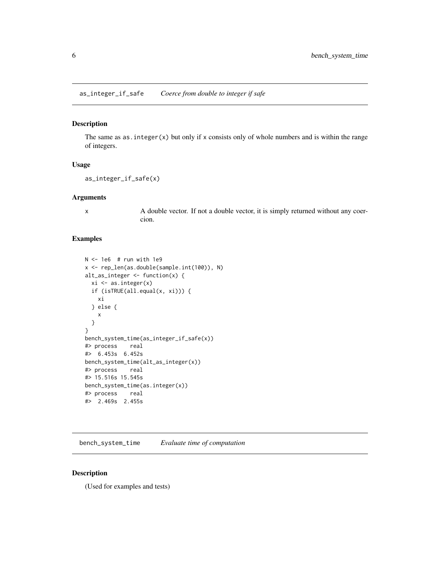<span id="page-5-0"></span>as\_integer\_if\_safe *Coerce from double to integer if safe*

#### Description

The same as as.integer(x) but only if x consists only of whole numbers and is within the range of integers.

#### Usage

```
as_integer_if_safe(x)
```
# Arguments

x A double vector. If not a double vector, it is simply returned without any coercion.

#### Examples

```
N < -1e6 # run with 1e9
x <- rep_len(as.double(sample.int(100)), N)
alt_as_integer <- function(x) {
  xi \leftarrow as.integer(x)if (isTRUE(all.equal(x, xi))) {
   xi
  } else {
    x
  }
}
bench_system_time(as_integer_if_safe(x))
#> process real
#> 6.453s 6.452s
bench_system_time(alt_as_integer(x))
#> process real
#> 15.516s 15.545s
bench_system_time(as.integer(x))
#> process real
#> 2.469s 2.455s
```
bench\_system\_time *Evaluate time of computation*

#### Description

(Used for examples and tests)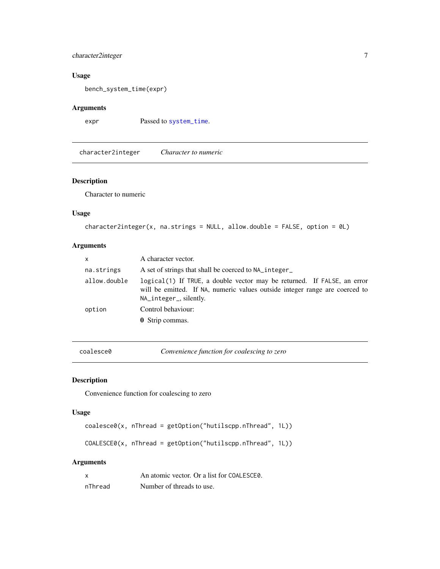# <span id="page-6-0"></span>character2integer 7

#### Usage

bench\_system\_time(expr)

# Arguments

expr Passed to [system\\_time](#page-0-0).

character2integer *Character to numeric*

# Description

Character to numeric

# Usage

```
character2integer(x, na.strings = NULL, allow.double = FALSE, option = 0L)
```
# Arguments

| $\mathsf{x}$ | A character vector.                                                                                                                                                              |
|--------------|----------------------------------------------------------------------------------------------------------------------------------------------------------------------------------|
| na.strings   | A set of strings that shall be coerced to NA_integer_                                                                                                                            |
| allow.double | logical(1) If TRUE, a double vector may be returned. If FALSE, an error<br>will be emitted. If NA, numeric values outside integer range are coerced to<br>NA_integer_, silently. |
| option       | Control behaviour:<br><b>0</b> Strip commas.                                                                                                                                     |

coalesce0 *Convenience function for coalescing to zero*

# Description

Convenience function for coalescing to zero

#### Usage

```
coalesce0(x, nThread = getOption("hutilscpp.nThread", 1L))
```
COALESCE0(x, nThread = getOption("hutilscpp.nThread", 1L))

| x       | An atomic vector. Or a list for COALESCEO. |
|---------|--------------------------------------------|
| nThread | Number of threads to use.                  |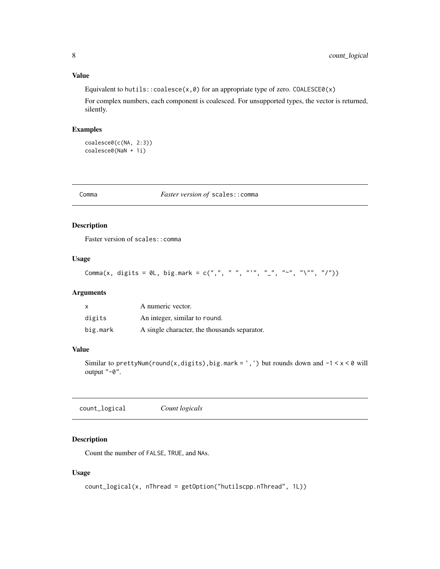# <span id="page-7-0"></span>Value

Equivalent to hutils::  $coalesce(x,0)$  for an appropriate type of zero.  $COALESCE0(x)$ 

For complex numbers, each component is coalesced. For unsupported types, the vector is returned, silently.

# Examples

```
coalesce0(c(NA, 2:3))
coalesce0(NaN + 1i)
```
Comma *Faster version of* scales::comma

# Description

Faster version of scales::comma

# Usage

```
Comma(x, digits = 0L, big.mark = c(",", " ", "'", "_", "~", "\"", "/"))
```
#### Arguments

|          | A numeric vector.                            |
|----------|----------------------------------------------|
| digits   | An integer, similar to round.                |
| big.mark | A single character, the thousands separator. |

## Value

Similar to prettyNum(round(x,digits),big.mark = ',') but rounds down and  $-1 < x < 0$  will output "-0".

count\_logical *Count logicals*

# Description

Count the number of FALSE, TRUE, and NAs.

# Usage

```
count_logical(x, nThread = getOption("hutilscpp.nThread", 1L))
```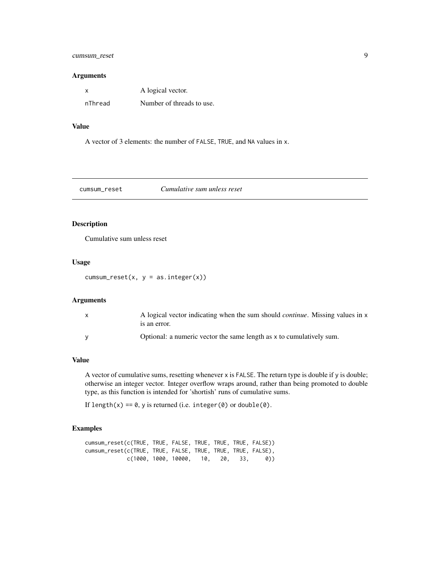# <span id="page-8-0"></span>cumsum\_reset 9

#### Arguments

| x       | A logical vector.         |
|---------|---------------------------|
| nThread | Number of threads to use. |

# Value

A vector of 3 elements: the number of FALSE, TRUE, and NA values in x.

cumsum\_reset *Cumulative sum unless reset*

# Description

Cumulative sum unless reset

#### Usage

 $cumsum\_reset(x, y = as.integer(x))$ 

# Arguments

| A logical vector indicating when the sum should <i>continue</i> . Missing values in x<br>is an error. |
|-------------------------------------------------------------------------------------------------------|
| Optional: a numeric vector the same length as x to cumulatively sum.                                  |

# Value

A vector of cumulative sums, resetting whenever x is FALSE. The return type is double if y is double; otherwise an integer vector. Integer overflow wraps around, rather than being promoted to double type, as this function is intended for 'shortish' runs of cumulative sums.

If length(x) ==  $0$ , y is returned (i.e. integer(0) or double(0).

#### Examples

| cumsum_reset(c(TRUE, TRUE, FALSE, TRUE, TRUE, TRUE, FALSE)) |  |  |  |
|-------------------------------------------------------------|--|--|--|
| cumsum_reset(c(TRUE, TRUE, FALSE, TRUE, TRUE, TRUE, FALSE), |  |  |  |
| c(1000, 1000, 10000, 10, 20, 33, 0))                        |  |  |  |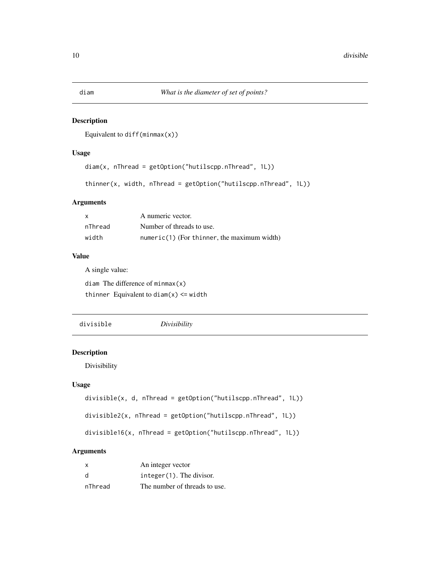<span id="page-9-0"></span>Equivalent to diff(minmax $(x)$ )

#### Usage

```
diam(x, nThread = getOption("hutilscpp.nThread", 1L))
```

```
thinner(x, width, nThread = getOption("hutilscpp.nThread", 1L))
```
#### Arguments

| $\mathsf{x}$ | A numeric vector.                             |
|--------------|-----------------------------------------------|
| nThread      | Number of threads to use.                     |
| width        | $numeric(1)$ (For thinner, the maximum width) |

#### Value

A single value:

diam The difference of minmax(x) thinner Equivalent to  $diam(x) \leq width$ 

divisible *Divisibility*

# Description

Divisibility

#### Usage

```
divisible(x, d, nThread = getOption("hutilscpp.nThread", 1L))
divisible2(x, nThread = getOption("hutilscpp.nThread", 1L))
```
divisible16(x, nThread = getOption("hutilscpp.nThread", 1L))

| $\mathsf{x}$ | An integer vector             |
|--------------|-------------------------------|
| <sub>d</sub> | $integer(1)$ . The divisor.   |
| nThread      | The number of threads to use. |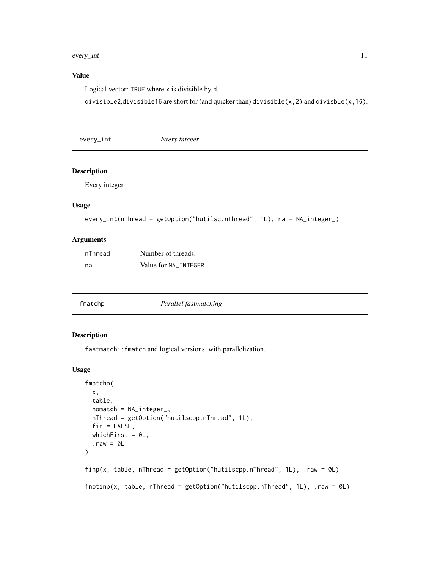#### <span id="page-10-0"></span>every\_int 11

# Value

Logical vector: TRUE where x is divisible by d.

divisible2,divisible16 are short for (and quicker than) divisible(x,2) and divisble(x,16).

every\_int *Every integer*

#### Description

Every integer

# Usage

```
every_int(nThread = getOption("hutilsc.nThread", 1L), na = NA_integer_)
```
# Arguments

| nThread | Number of threads.    |
|---------|-----------------------|
| na      | Value for NA INTEGER. |

| fmatchp | Parallel fastmatching |  |
|---------|-----------------------|--|
|---------|-----------------------|--|

# Description

fastmatch::fmatch and logical versions, with parallelization.

#### Usage

```
fmatchp(
 x,
 table,
 nomatch = NA_integer_,
 nThread = getOption("hutilscpp.nThread", 1L),
 fin = FALSE,whichFirst = 0L,
  .raw = 0L)
finp(x, table, nThread = getOption("hutilscpp.nThread", 1L), .raw = 0L)
fnotinp(x, table, nThread = getOption("hutilscpp.nThread", 1L), .raw = 0L)
```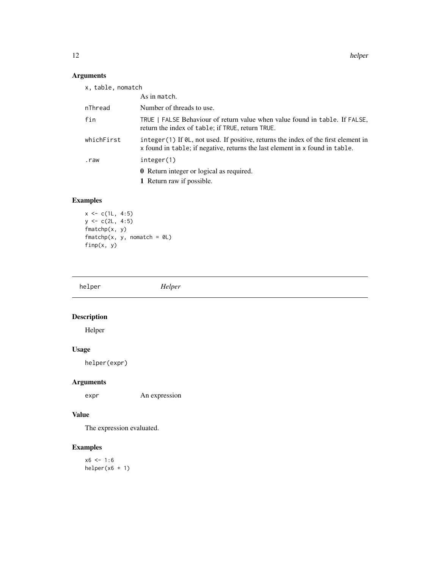<span id="page-11-0"></span>12 helper

# Arguments

| x, table, nomatch |                                                                                                                                                                           |
|-------------------|---------------------------------------------------------------------------------------------------------------------------------------------------------------------------|
|                   | As in match.                                                                                                                                                              |
| nThread           | Number of threads to use.                                                                                                                                                 |
| fin               | TRUE   FALSE Behaviour of return value when value found in table. If FALSE,<br>return the index of table; if TRUE, return TRUE.                                           |
| whichFirst        | integer $(1)$ If $\&0$ , not used. If positive, returns the index of the first element in<br>x found in table; if negative, returns the last element in x found in table. |
| .raw              | integer(1)                                                                                                                                                                |
|                   | <b>0</b> Return integer or logical as required.                                                                                                                           |
|                   | 1 Return raw if possible.                                                                                                                                                 |
|                   |                                                                                                                                                                           |

# Examples

```
x \leq c(1L, 4:5)y <- c(2L, 4:5)
fmatchp(x, y)
fnatchp(x, y, nomatch = 0L)finp(x, y)
```

| helper | Helper |
|--------|--------|
|        |        |

# Description

Helper

# Usage

helper(expr)

# Arguments

expr An expression

# Value

The expression evaluated.

# Examples

 $x6 < -1:6$ helper(x6 + 1)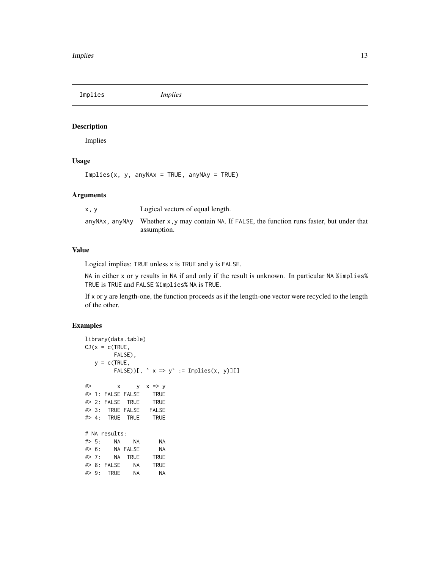<span id="page-12-0"></span>Implies *Implies*

# Description

Implies

#### Usage

 $Implies(x, y, anyNAx = TRUE, anyNAy = TRUE)$ 

#### Arguments

| x.v | Logical vectors of equal length.                                                                                         |
|-----|--------------------------------------------------------------------------------------------------------------------------|
|     | $\alpha$ any NAx, any NAy Whether x, y may contain NA. If FALSE, the function runs faster, but under that<br>assumption. |

#### Value

Logical implies: TRUE unless x is TRUE and y is FALSE.

NA in either x or y results in NA if and only if the result is unknown. In particular NA %implies% TRUE is TRUE and FALSE %implies% NA is TRUE.

If x or y are length-one, the function proceeds as if the length-one vector were recycled to the length of the other.

# Examples

```
library(data.table)
CJ(x = c(TRUE,FALSE),
  y = c(TRUE,
       FALSE))[, ` x => y` := Implies(x, y)][]
#> x y x => y
#> 1: FALSE FALSE TRUE
#> 2: FALSE TRUE TRUE
#> 3: TRUE FALSE FALSE
#> 4: TRUE TRUE TRUE
# NA results:
#> 5: NA NA NA
#> 6: NA FALSE NA
#> 7: NA TRUE TRUE
#> 8: FALSE NA TRUE
#> 9: TRUE NA NA
```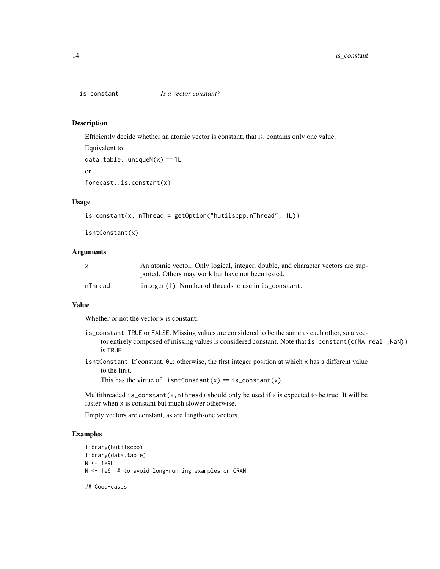Efficiently decide whether an atomic vector is constant; that is, contains only one value.

```
Equivalent to
data.table::uniqueN(x) == 1L
```
or

```
forecast::is.constant(x)
```
# Usage

```
is_constant(x, nThread = getOption("hutilscpp.nThread", 1L))
```

```
isntConstant(x)
```
#### Arguments

|         | An atomic vector. Only logical, integer, double, and character vectors are sup- |
|---------|---------------------------------------------------------------------------------|
|         | ported. Others may work but have not been tested.                               |
| nThread | integer(1) Number of threads to use in is_constant.                             |

#### Value

Whether or not the vector x is constant:

- is\_constant TRUE or FALSE. Missing values are considered to be the same as each other, so a vector entirely composed of missing values is considered constant. Note that is\_constant(c(NA\_real\_,NaN)) is TRUE.
- isntConstant If constant, 0L; otherwise, the first integer position at which x has a different value to the first.

This has the virtue of !isntConstant(x) ==  $is\_constant(x)$ .

Multithreaded is\_constant(x,nThread) should only be used if x is expected to be true. It will be faster when x is constant but much slower otherwise.

Empty vectors are constant, as are length-one vectors.

# Examples

```
library(hutilscpp)
library(data.table)
N < -1e9LN <- 1e6 # to avoid long-running examples on CRAN
```
## Good-cases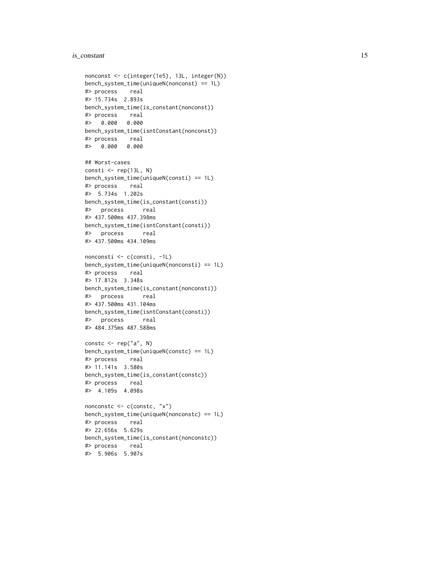#### is\_constant 15

```
nonconst <- c(integer(1e5), 13L, integer(N))
bench_system_time(uniqueN(nonconst) == 1L)
#> process real
#> 15.734s 2.893s
bench_system_time(is_constant(nonconst))
#> process real
#> 0.000 0.000
bench_system_time(isntConstant(nonconst))
#> process real
#> 0.000 0.000
## Worst-cases
consti \leq rep(13L, N)
bench_system_time(uniqueN(consti) == 1L)
#> process real
#> 5.734s 1.202s
bench_system_time(is_constant(consti))
#> process real
#> 437.500ms 437.398ms
bench_system_time(isntConstant(consti))
#> process real
#> 437.500ms 434.109ms
nonconsti <- c(consti, -1L)
bench_system_time(uniqueN(nonconsti) == 1L)
#> process real
#> 17.812s 3.348s
bench_system_time(is_constant(nonconsti))
#> process real
#> 437.500ms 431.104ms
bench_system_time(isntConstant(consti))
#> process real
#> 484.375ms 487.588ms
constc \leq rep("a", N)
bench_system_time(uniqueN(constc) == 1L)
#> process real
#> 11.141s 3.580s
bench_system_time(is_constant(constc))
#> process real
#> 4.109s 4.098s
nonconstc <- c(constc, "x")
bench_system_time(uniqueN(nonconstc) == 1L)
#> process real
#> 22.656s 5.629s
bench_system_time(is_constant(nonconstc))
#> process real
#> 5.906s 5.907s
```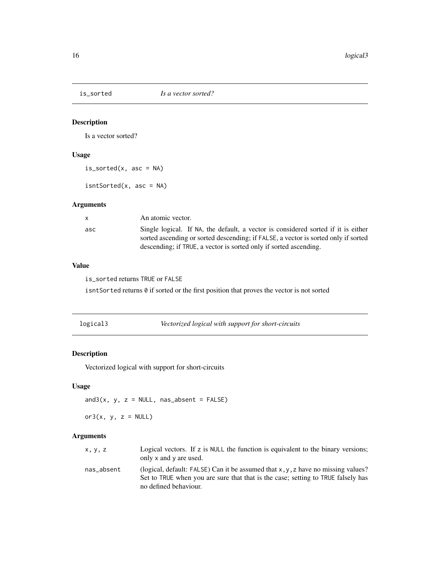<span id="page-15-0"></span>

Is a vector sorted?

# Usage

 $is\_sorted(x, asc = NA)$ 

isntSorted(x, asc = NA)

# Arguments

| $\mathsf{X}$ | An atomic vector.                                                                                                                                                                                                                            |
|--------------|----------------------------------------------------------------------------------------------------------------------------------------------------------------------------------------------------------------------------------------------|
| asc          | Single logical. If NA, the default, a vector is considered sorted if it is either<br>sorted ascending or sorted descending; if FALSE, a vector is sorted only if sorted<br>descending; if TRUE, a vector is sorted only if sorted ascending. |

# Value

is\_sorted returns TRUE or FALSE

isntSorted returns 0 if sorted or the first position that proves the vector is not sorted

# Description

Vectorized logical with support for short-circuits

#### Usage

 $and3(x, y, z = NULL, nas\_absent = FALSE)$ 

or $3(x, y, z = NULL)$ 

| x, y, z    | Logical vectors. If z is NULL the function is equivalent to the binary versions;<br>only $x$ and $y$ are used.                                                                                |
|------------|-----------------------------------------------------------------------------------------------------------------------------------------------------------------------------------------------|
| nas absent | (logical, default: FALSE) Can it be assumed that x, y, z have no missing values?<br>Set to TRUE when you are sure that that is the case; setting to TRUE falsely has<br>no defined behaviour. |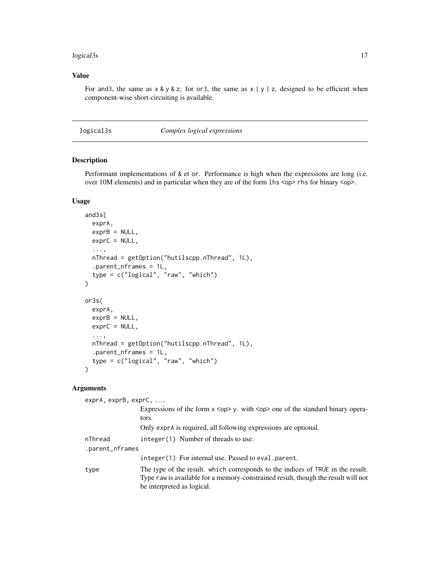#### <span id="page-16-0"></span>logical3s **17**

#### Value

For and 3, the same as  $x \& y \& z$ ; for or 3, the same as  $x \mid y \mid z$ , designed to be efficient when component-wise short-circuiting is available.

logical3s *Complex logical expressions*

# Description

Performant implementations of & et or. Performance is high when the expressions are long (i.e. over 10M elements) and in particular when they are of the form 1hs <op>rhs for binary <op>.

# Usage

```
and3s(
  exprA,
  exprB = NULL,exprC = NULL,...,
  nThread = getOption("hutilscpp.nThread", 1L),
  .parent_nframes = 1L,
  type = c("logical", "raw", "which")
\lambdaor3s(
  exprA,
  exprB = NULL,exprC = NULL,...,
  nThread = getOption("hutilscpp.nThread", 1L),
  .parent_nframes = 1L,
  type = c("logical", "raw", "which")
)
```

| $exprA$ , $exprB$ , $exprC$ , $\ldots$ |                                                                                        |  |
|----------------------------------------|----------------------------------------------------------------------------------------|--|
|                                        | Expressions of the form $x \leq op$ , with $\leq op$ one of the standard binary opera- |  |
|                                        | tors.                                                                                  |  |
|                                        | Only exprA is required, all following expressions are optional.                        |  |
| nThread                                | integer(1) Number of threads to use.                                                   |  |
| .parent_nframes                        |                                                                                        |  |
|                                        | integer(1) For internal use. Passed to eval.parent.                                    |  |
| type                                   | The type of the result. which corresponds to the indices of TRUE in the result.        |  |
|                                        | Type raw is available for a memory-constrained result, though the result will not      |  |
|                                        | be interpreted as logical.                                                             |  |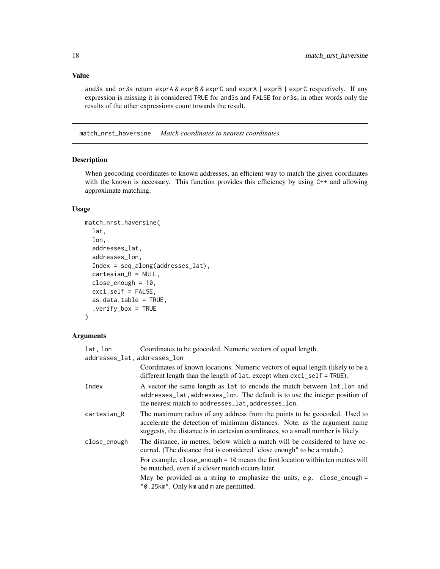#### <span id="page-17-0"></span>Value

and3s and or3s return exprA & exprB & exprC and exprA | exprB | exprC respectively. If any expression is missing it is considered TRUE for and3s and FALSE for or3s; in other words only the results of the other expressions count towards the result.

match\_nrst\_haversine *Match coordinates to nearest coordinates*

# Description

When geocoding coordinates to known addresses, an efficient way to match the given coordinates with the known is necessary. This function provides this efficiency by using  $C++$  and allowing approximate matching.

#### Usage

```
match_nrst_haversine(
  lat,
  lon,
  addresses_lat,
  addresses_lon,
  Index = seq_along(addresses_lat),
  cartesian_R = NULL,
  close_enough = 10,
  excl_self = FALSE,
  as.data.table = TRUE,
  .verify_box = TRUE
)
```

| lat, lon                     | Coordinates to be geocoded. Numeric vectors of equal length.                                                                                                                                                                                                                                                                                                                |
|------------------------------|-----------------------------------------------------------------------------------------------------------------------------------------------------------------------------------------------------------------------------------------------------------------------------------------------------------------------------------------------------------------------------|
| addresses_lat, addresses_lon |                                                                                                                                                                                                                                                                                                                                                                             |
|                              | Coordinates of known locations. Numeric vectors of equal length (likely to be a<br>different length than the length of $lat$ , except when $excl\_self = TRUE$ ).                                                                                                                                                                                                           |
| Index                        | A vector the same length as lat to encode the match between lat, lon and<br>addresses_lat, addresses_lon. The default is to use the integer position of<br>the nearest match to addresses_lat, addresses_lon.                                                                                                                                                               |
| cartesian_R                  | The maximum radius of any address from the points to be geocoded. Used to<br>accelerate the detection of minimum distances. Note, as the argument name<br>suggests, the distance is in cartesian coordinates, so a small number is likely.                                                                                                                                  |
| close_enough                 | The distance, in metres, below which a match will be considered to have oc-<br>curred. (The distance that is considered "close enough" to be a match.)<br>For example, $close_{enough} = 10$ means the first location within ten metres will<br>be matched, even if a closer match occurs later.<br>May be provided as a string to emphasize the units, e.g. close_enough = |
|                              | "0.25km". Only km and m are permitted.                                                                                                                                                                                                                                                                                                                                      |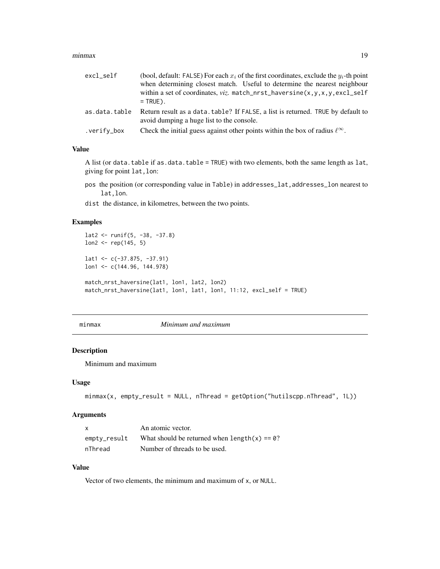#### <span id="page-18-0"></span>minmax and the contract of the contract of the contract of the contract of the contract of the contract of the contract of the contract of the contract of the contract of the contract of the contract of the contract of the

| excl_self     | (bool, default: FALSE) For each $x_i$ of the first coordinates, exclude the $y_i$ -th point<br>when determining closest match. Useful to determine the nearest neighbour<br>within a set of coordinates, viz. match_nrst_haversine(x,y,x,y,excl_self<br>$=$ TRUE). |
|---------------|--------------------------------------------------------------------------------------------------------------------------------------------------------------------------------------------------------------------------------------------------------------------|
| as.data.table | Return result as a data. table? If FALSE, a list is returned. TRUE by default to<br>avoid dumping a huge list to the console.                                                                                                                                      |
| .verify_box   | Check the initial guess against other points within the box of radius $\ell^{\infty}$ .                                                                                                                                                                            |

#### Value

A list (or data.table if as.data.table = TRUE) with two elements, both the same length as lat, giving for point lat,lon:

pos the position (or corresponding value in Table) in addresses\_lat, addresses\_lon nearest to lat,lon.

dist the distance, in kilometres, between the two points.

# Examples

```
lat2 <- runif(5, -38, -37.8)
lon2 <- rep(145, 5)
lat1 <- c(-37.875, -37.91)
lon1 <- c(144.96, 144.978)
match_nrst_haversine(lat1, lon1, lat2, lon2)
match_nrst_haversine(lat1, lon1, lat1, lon1, 11:12, excl_self = TRUE)
```
minmax *Minimum and maximum*

#### Description

Minimum and maximum

#### Usage

```
minmax(x, empty\_result = NULL, nThread = getOption("hutilscpp.nThread", 1L))
```
# Arguments

| X            | An atomic vector.                              |
|--------------|------------------------------------------------|
| empty_result | What should be returned when $length(x) = 0$ ? |
| nThread      | Number of threads to be used.                  |

# Value

Vector of two elements, the minimum and maximum of x, or NULL.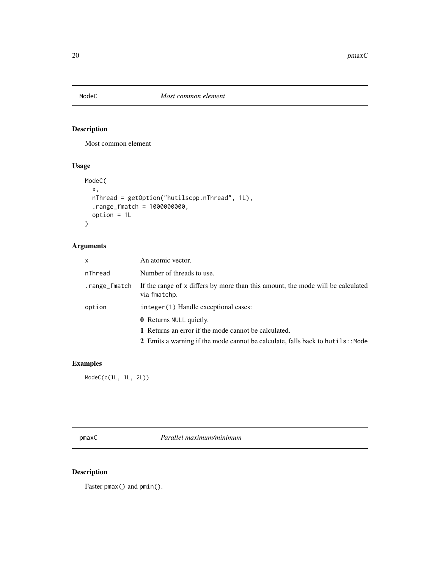<span id="page-19-0"></span>

Most common element

# Usage

```
ModeC(
  x,
  nThread = getOption("hutilscpp.nThread", 1L),
  .range_fmatch = 1000000000,
  option = 1L
\mathcal{L}
```
# Arguments

| X             | An atomic vector.                                                                               |
|---------------|-------------------------------------------------------------------------------------------------|
| nThread       | Number of threads to use.                                                                       |
| .range_fmatch | If the range of x differs by more than this amount, the mode will be calculated<br>via fmatchp. |
| option        | integer(1) Handle exceptional cases:                                                            |
|               | <b>0</b> Returns NULL quietly.                                                                  |
|               | 1 Returns an error if the mode cannot be calculated.                                            |
|               | 2 Emits a warning if the mode cannot be calculate, falls back to hutils: : Mode                 |

# Examples

ModeC(c(1L, 1L, 2L))

pmaxC *Parallel maximum/minimum*

# Description

Faster pmax() and pmin().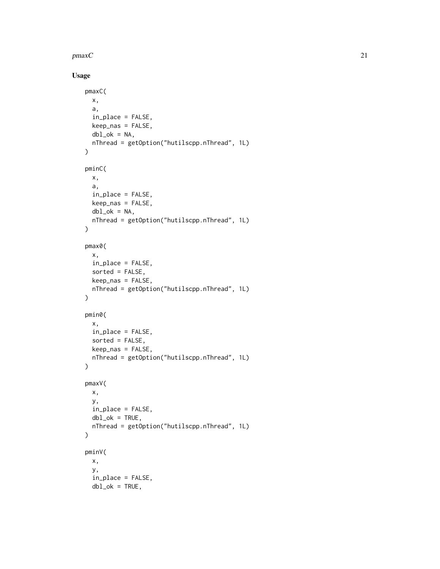$pmaxC$  21

# Usage

```
pmaxC(
  x,
  a,
  in_place = FALSE,
 keep_nas = FALSE,
 dbl_ok = NA,
 nThread = getOption("hutilscpp.nThread", 1L)
\lambdapminC(
 x,
 a,
 in_place = FALSE,
 keep_nas = FALSE,
 dbl_ok = NA,
 nThread = getOption("hutilscpp.nThread", 1L)
\mathcal{L}pmax0(
 x,
  in_place = FALSE,
  sorted = FALSE,
 keep_nas = FALSE,
 nThread = getOption("hutilscpp.nThread", 1L)
\lambdapmin0(
 x,
 in_place = FALSE,
 sorted = FALSE,
 keep_nas = FALSE,
 nThread = getOption("hutilscpp.nThread", 1L)
\mathcal{L}pmaxV(
 x,
 y,
 in_place = FALSE,
 dbl_ok = TRUE,nThread = getOption("hutilscpp.nThread", 1L)
\mathcal{L}pminV(
 x,
  y,
  in_place = FALSE,
 dbl_ok = TRUE,
```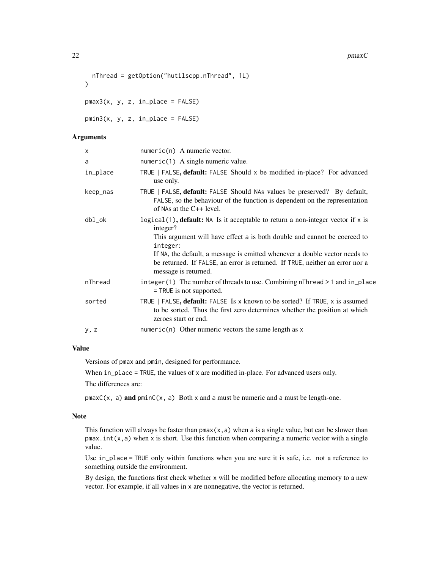#### 22 **pmaxC**

```
nThread = getOption("hutilscpp.nThread", 1L)
```
 $pmax3(x, y, z, in_\text{place} = FALSE)$ 

pmin3(x, y, z, in\_place = FALSE)

#### Arguments

 $\lambda$ 

| x        | $numeric(n)$ A numeric vector.                                                                                                                                                                                                                                                                                                                                               |
|----------|------------------------------------------------------------------------------------------------------------------------------------------------------------------------------------------------------------------------------------------------------------------------------------------------------------------------------------------------------------------------------|
| a        | $numeric(1)$ A single numeric value.                                                                                                                                                                                                                                                                                                                                         |
| in_place | TRUE   FALSE, default: FALSE Should x be modified in-place? For advanced<br>use only.                                                                                                                                                                                                                                                                                        |
| keep_nas | TRUE   FALSE, default: FALSE Should NAs values be preserved? By default,<br>FALSE, so the behaviour of the function is dependent on the representation<br>of NAs at the $C_{++}$ level.                                                                                                                                                                                      |
| dbl_ok   | $logical(1)$ , default: NA Is it acceptable to return a non-integer vector if x is<br>integer?<br>This argument will have effect a is both double and cannot be coerced to<br>integer:<br>If NA, the default, a message is emitted whenever a double vector needs to<br>be returned. If FALSE, an error is returned. If TRUE, neither an error nor a<br>message is returned. |
| nThread  | integer(1) The number of threads to use. Combining $nThread > 1$ and $in\_place$<br>= TRUE is not supported.                                                                                                                                                                                                                                                                 |
| sorted   | TRUE   FALSE, default: FALSE Is x known to be sorted? If TRUE, x is assumed<br>to be sorted. Thus the first zero determines whether the position at which<br>zeroes start or end.                                                                                                                                                                                            |
| y, z     | $numeric(n)$ Other numeric vectors the same length as x                                                                                                                                                                                                                                                                                                                      |
|          |                                                                                                                                                                                                                                                                                                                                                                              |

#### Value

Versions of pmax and pmin, designed for performance.

When  $in$ -place = TRUE, the values of x are modified in-place. For advanced users only.

The differences are:

 $pmaxC(x, a)$  and  $pminC(x, a)$  Both x and a must be numeric and a must be length-one.

#### Note

This function will always be faster than  $pmax(x, a)$  when a is a single value, but can be slower than  $p$ max.int(x,a) when x is short. Use this function when comparing a numeric vector with a single value.

Use in\_place = TRUE only within functions when you are sure it is safe, i.e. not a reference to something outside the environment.

By design, the functions first check whether x will be modified before allocating memory to a new vector. For example, if all values in x are nonnegative, the vector is returned.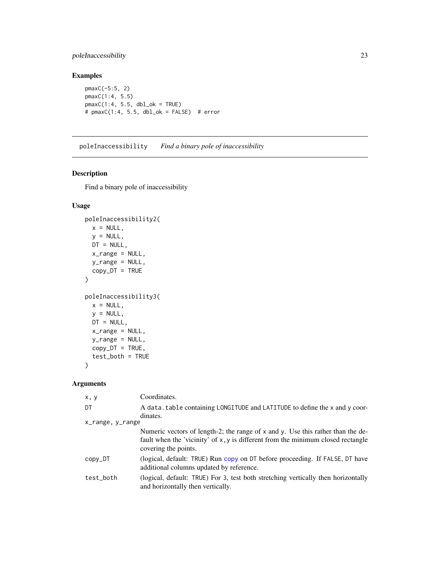# <span id="page-22-0"></span>poleInaccessibility 23

# Examples

```
pmaxC(-5:5, 2)
pmaxC(1:4, 5.5)
pmaxC(1:4, 5.5, db1_ok = TRUE)# pmaxC(1:4, 5.5, dbl_ok = FALSE) # error
```
poleInaccessibility *Find a binary pole of inaccessibility*

# Description

Find a binary pole of inaccessibility

# Usage

```
poleInaccessibility2(
 x = NULL,y = NULL,DT = NULL,x_range = NULL,
 y_range = NULL,
 copy\_DT = TRUE\mathcal{L}poleInaccessibility3(
 x = NULL,y = NULL,DT = NULL,x_range = NULL,
 y_range = NULL,
 copy_DT = TRUE,test_both = TRUE
)
```

| x, y             | Coordinates.                                                                                                                                                                                     |
|------------------|--------------------------------------------------------------------------------------------------------------------------------------------------------------------------------------------------|
| DT               | A data. table containing LONGITUDE and LATITUDE to define the x and y coor-                                                                                                                      |
|                  | dinates.                                                                                                                                                                                         |
| x_range, y_range |                                                                                                                                                                                                  |
|                  | Numeric vectors of length-2; the range of $x$ and $y$ . Use this rather than the de-<br>fault when the 'vicinity' of x, y is different from the minimum closed rectangle<br>covering the points. |
| copy_DT          | (logical, default: TRUE) Run copy on DT before proceeding. If FALSE, DT have<br>additional columns updated by reference.                                                                         |
| test_both        | (logical, default: TRUE) For 3, test both stretching vertically then horizontally<br>and horizontally then vertically.                                                                           |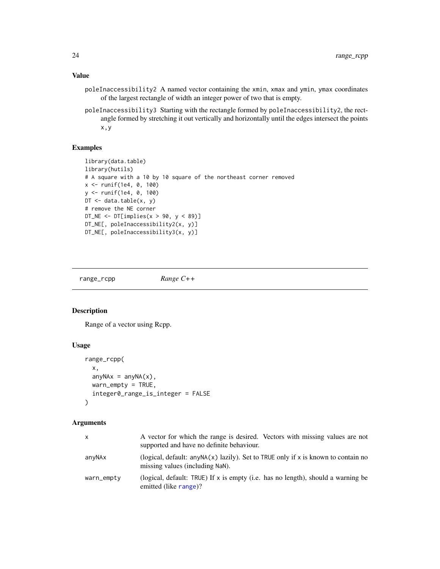# <span id="page-23-0"></span>Value

- poleInaccessibility2 A named vector containing the xmin, xmax and ymin, ymax coordinates of the largest rectangle of width an integer power of two that is empty.
- poleInaccessibility3 Starting with the rectangle formed by poleInaccessibility2, the rectangle formed by stretching it out vertically and horizontally until the edges intersect the points x,y

#### Examples

```
library(data.table)
library(hutils)
# A square with a 10 by 10 square of the northeast corner removed
x <- runif(1e4, 0, 100)
y <- runif(1e4, 0, 100)
DT \leq data.table(x, y)
# remove the NE corner
DT_NE \leq DT[implies(x > 90, y \leq 89)]
DT_NE[, poleInaccessibility2(x, y)]
DT_NE[, poleInaccessibility3(x, y)]
```
range\_rcpp *Range C++*

#### Description

Range of a vector using Rcpp.

#### Usage

```
range_rcpp(
  x,
  any\, \Delta x = any\, \Delta(x),warn_empty = TRUE,
  integer0_range_is_integer = FALSE
)
```

| x          | A vector for which the range is desired. Vectors with missing values are not<br>supported and have no definite behaviour. |
|------------|---------------------------------------------------------------------------------------------------------------------------|
| anyNAx     | (logical, default: $anyNA(x)$ lazily). Set to TRUE only if x is known to contain no<br>missing values (including NaN).    |
| warn_empty | (logical, default: TRUE) If x is empty (i.e. has no length), should a warning be<br>emitted (like range)?                 |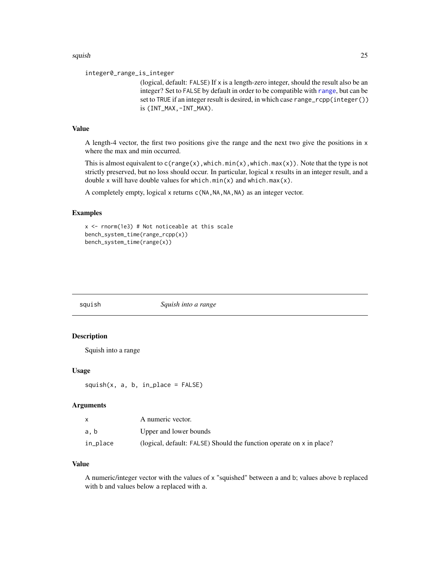#### <span id="page-24-0"></span>squish 25 and 25 and 25 and 26 and 26 and 26 and 26 and 26 and 26 and 26 and 26 and 26 and 26 and 26 and 26 and 26

integer0\_range\_is\_integer

(logical, default: FALSE) If x is a length-zero integer, should the result also be an integer? Set to FALSE by default in order to be compatible with [range](#page-0-0), but can be set to TRUE if an integer result is desired, in which case range\_rcpp(integer()) is (INT\_MAX,-INT\_MAX).

#### Value

A length-4 vector, the first two positions give the range and the next two give the positions in x where the max and min occurred.

This is almost equivalent to  $c(\text{range}(x), \text{which.min}(x), \text{which.max}(x))$ . Note that the type is not strictly preserved, but no loss should occur. In particular, logical x results in an integer result, and a double x will have double values for which.min(x) and which.max(x).

A completely empty, logical x returns c(NA, NA, NA, NA) as an integer vector.

#### Examples

```
x <- rnorm(1e3) # Not noticeable at this scale
bench_system_time(range_rcpp(x))
bench_system_time(range(x))
```

| Squish into a range<br>squish |
|-------------------------------|
|-------------------------------|

# Description

Squish into a range

# Usage

 $squish(x, a, b, in_\text{place} = FALSE)$ 

#### Arguments

|          | A numeric vector.                                                    |
|----------|----------------------------------------------------------------------|
| a. b     | Upper and lower bounds                                               |
| in_place | (logical, default: FALSE) Should the function operate on x in place? |

# Value

A numeric/integer vector with the values of x "squished" between a and b; values above b replaced with b and values below a replaced with a.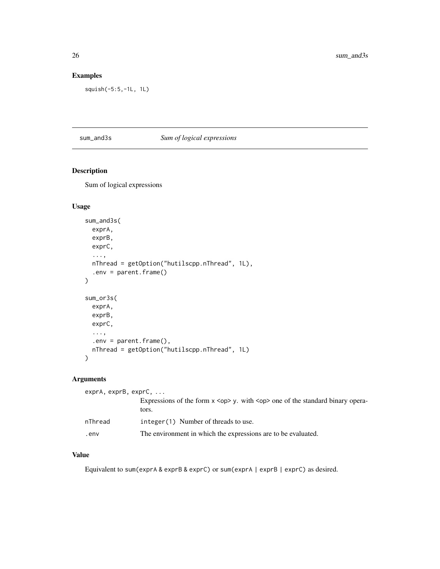# Examples

squish(-5:5,-1L, 1L)

# sum\_and3s *Sum of logical expressions*

# Description

Sum of logical expressions

# Usage

```
sum_and3s(
 exprA,
 exprB,
 exprC,
  ...,
 nThread = getOption("hutilscpp.nThread", 1L),
  .env = parent.frame()
)
sum_or3s(
 exprA,
 exprB,
 exprC,
  ...,
  env = parent frame(),nThread = getOption("hutilscpp.nThread", 1L)
\mathcal{L}
```
# Arguments

| $exprA$ , $exprB$ , $exprC$ , $\ldots$ |                                                                                                 |
|----------------------------------------|-------------------------------------------------------------------------------------------------|
|                                        | Expressions of the form $x \leq op$ , with $\leq op$ one of the standard binary opera-<br>tors. |
| nThread                                | $integer(1)$ Number of threads to use.                                                          |
| .env                                   | The environment in which the expressions are to be evaluated.                                   |

#### Value

Equivalent to sum(exprA & exprB & exprC) or sum(exprA | exprB | exprC) as desired.

<span id="page-25-0"></span>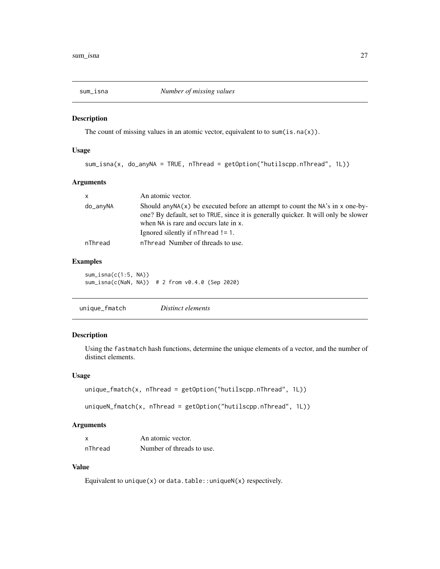<span id="page-26-0"></span>

The count of missing values in an atomic vector, equivalent to to sum(is.na(x)).

# Usage

```
sum_isna(x, do_anyNA = TRUE, nThread = getOption("hutilscpp.nThread", 1L))
```
#### Arguments

| $\mathsf{x}$ | An atomic vector.                                                                                                                                                                                                |
|--------------|------------------------------------------------------------------------------------------------------------------------------------------------------------------------------------------------------------------|
| do_anyNA     | Should any NA $(x)$ be executed before an attempt to count the NA's in x one-by-<br>one? By default, set to TRUE, since it is generally quicker. It will only be slower<br>when NA is rare and occurs late in x. |
|              | Ignored silently if $n$ Thread != 1.                                                                                                                                                                             |
| nThread      | nThread Number of threads to use.                                                                                                                                                                                |

# Examples

sum\_isna(c(1:5, NA)) sum\_isna(c(NaN, NA)) # 2 from v0.4.0 (Sep 2020)

| Distinct elements<br>unique_fmatch |
|------------------------------------|

#### Description

Using the fastmatch hash functions, determine the unique elements of a vector, and the number of distinct elements.

#### Usage

```
unique_fmatch(x, nThread = getOption("hutilscpp.nThread", 1L))
```

```
uniqueN_fmatch(x, nThread = getOption("hutilscpp.nThread", 1L))
```
#### Arguments

| x       | An atomic vector.         |
|---------|---------------------------|
| nThread | Number of threads to use. |

# Value

Equivalent to unique(x) or data.table:: uniqueN(x) respectively.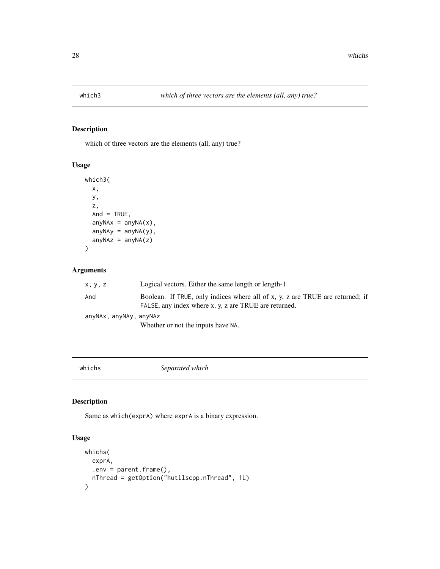<span id="page-27-0"></span>

which of three vectors are the elements (all, any) true?

# Usage

```
which3(
 x,
 y,
 z,
 And = TRUE,
 anyNAx = anyNA(x),
 anyNAy = anyNA(y),
 anyNAz = anyNA(z))
```
# Arguments

| x, y, z                | Logical vectors. Either the same length or length-1                                                                                    |
|------------------------|----------------------------------------------------------------------------------------------------------------------------------------|
| And                    | Boolean. If TRUE, only indices where all of x, y, z are TRUE are returned; if<br>FALSE, any index where x, y, z are TRUE are returned. |
| anyNAx, anyNAy, anyNAz |                                                                                                                                        |
|                        | Whether or not the inputs have NA.                                                                                                     |

whichs *Separated which*

# Description

Same as which(exprA) where exprA is a binary expression.

# Usage

```
whichs(
 exprA,
  env = parent frame(),nThread = getOption("hutilscpp.nThread", 1L)
)
```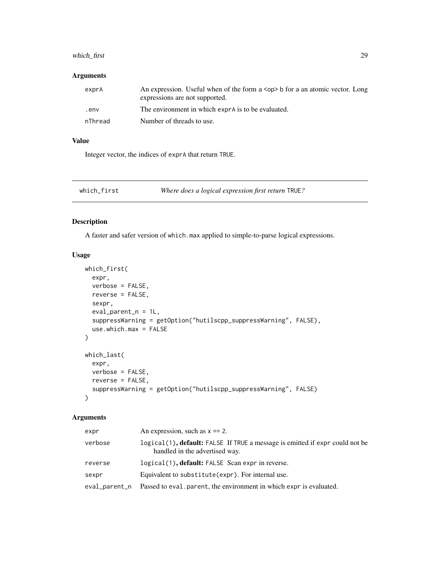# <span id="page-28-0"></span>which\_first 29

#### Arguments

| exprA   | An expression. Useful when of the form a $\langle op \rangle$ b for a an atomic vector. Long<br>expressions are not supported. |
|---------|--------------------------------------------------------------------------------------------------------------------------------|
| env.    | The environment in which exprais to be evaluated.                                                                              |
| nThread | Number of threads to use.                                                                                                      |

#### Value

Integer vector, the indices of exprA that return TRUE.

which\_first *Where does a logical expression first return* TRUE*?*

#### Description

A faster and safer version of which.max applied to simple-to-parse logical expressions.

#### Usage

```
which_first(
 expr,
 verbose = FALSE,
 reverse = FALSE,
 sexpr,
 eval_parent_n = 1L,
 suppressWarning = getOption("hutilscpp_suppressWarning", FALSE),
 use.which.max = FALSE
)
which_last(
 expr,
 verbose = FALSE,
 reverse = FALSE,
 suppressWarning = getOption("hutilscpp_suppressWarning", FALSE)
)
```

| expr          | An expression, such as $x = 2$ .                                                                               |
|---------------|----------------------------------------------------------------------------------------------------------------|
| verbose       | logical(1), default: FALSE If TRUE a message is emitted if expr could not be<br>handled in the advertised way. |
| reverse       | logical(1), default: FALSE Scan expr in reverse.                                                               |
| sexpr         | Equivalent to substitute (expr). For internal use.                                                             |
| eval_parent_n | Passed to eval parent, the environment in which expr is evaluated.                                             |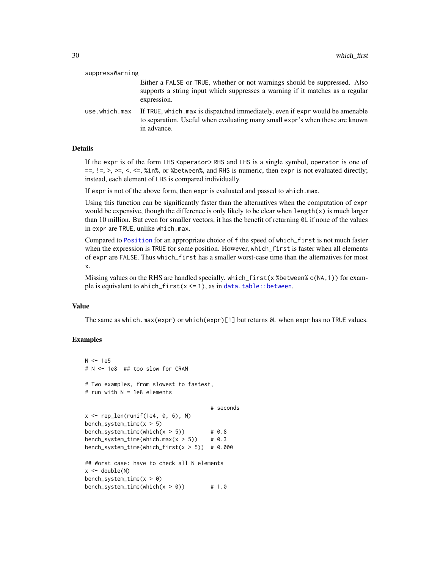<span id="page-29-0"></span>

| suppressWarning |                                                                                                                                                                             |
|-----------------|-----------------------------------------------------------------------------------------------------------------------------------------------------------------------------|
|                 | Either a FALSE or TRUE, whether or not warnings should be suppressed. Also<br>supports a string input which suppresses a warning if it matches as a regular<br>expression.  |
| use.which.max   | If TRUE, which max is dispatched immediately, even if expr would be amenable<br>to separation. Useful when evaluating many small expr's when these are known<br>in advance. |

#### Details

If the expr is of the form LHS <operator>RHS and LHS is a single symbol, operator is one of  $=$ ,  $=$ ,  $\ge$ ,  $\ge$ ,  $\lt$ ,  $\le$ ,  $\sin$ %, or %between%, and RHS is numeric, then expr is not evaluated directly; instead, each element of LHS is compared individually.

If expr is not of the above form, then expr is evaluated and passed to which.max.

Using this function can be significantly faster than the alternatives when the computation of expr would be expensive, though the difference is only likely to be clear when  $length(x)$  is much larger than 10 million. But even for smaller vectors, it has the benefit of returning  $\emptyset L$  if none of the values in expr are TRUE, unlike which.max.

Compared to [Position](#page-0-0) for an appropriate choice of f the speed of which\_first is not much faster when the expression is TRUE for some position. However, which\_first is faster when all elements of expr are FALSE. Thus which\_first has a smaller worst-case time than the alternatives for most x.

Missing values on the RHS are handled specially. which\_first(x %between% c(NA,1)) for example is equivalent to which\_first( $x \le 1$ ), as in [data.table::between](#page-0-0).

#### Value

The same as which.max(expr) or which(expr)[1] but returns 0L when expr has no TRUE values.

# Examples

```
N < -1e5# N <- 1e8 ## too slow for CRAN
# Two examples, from slowest to fastest,
# run with N = 1e8 elements
                                     # seconds
x \leq rep_len(runif(1e4, 0, 6), N)
bench_system_time(x > 5)
bench_system_time(which(x > 5)) # 0.8
bench_system_time(which.max(x > 5)) # 0.3
bench_system_time(which_first(x > 5)) # 0.000
## Worst case: have to check all N elements
x < - double(N)
bench_system_time(x > 0)
bench_system_time(which(x > 0)) # 1.0
```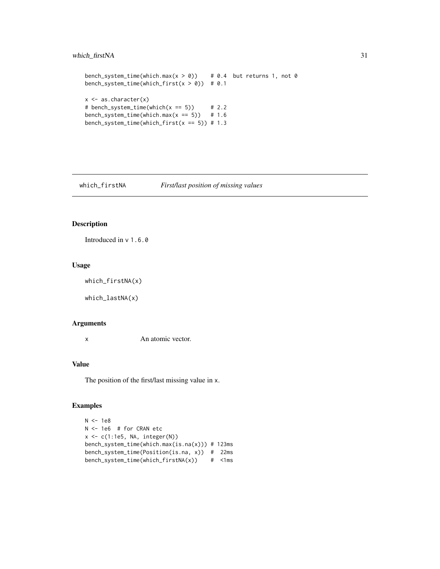```
bench_system_time(which.max(x > 0)) # 0.4 but returns 1, not 0
bench_system_time(which_first(x > 0)) # 0.1
x \leftarrow as.charAtactor(x)# bench_system_time(which(x == 5) # 2.2
bench_system_time(which.max(x == 5) # 1.6
bench_system_time(which_first(x == 5)) # 1.3
```
which\_firstNA *First/last position of missing values*

# Description

Introduced in v 1.6.0

#### Usage

```
which_firstNA(x)
```
which\_lastNA(x)

#### Arguments

x An atomic vector.

#### Value

The position of the first/last missing value in x.

#### Examples

```
N < -1e8N <- 1e6 # for CRAN etc
x <- c(1:1e5, NA, integer(N))
bench_system_time(which.max(is.na(x))) # 123ms
bench_system_time(Position(is.na, x)) # 22ms
bench_system_time(which_firstNA(x)) # <1ms
```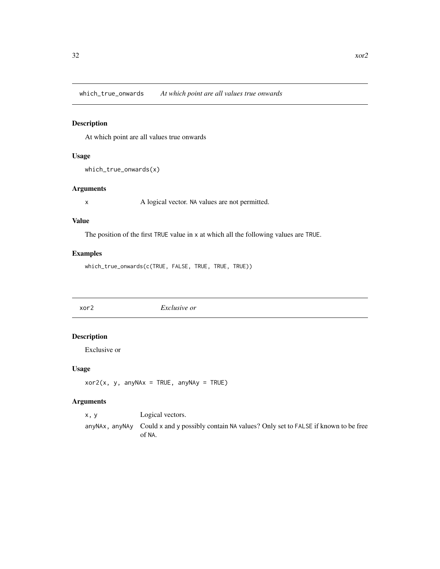<span id="page-31-0"></span>which\_true\_onwards *At which point are all values true onwards*

# Description

At which point are all values true onwards

# Usage

```
which_true_onwards(x)
```
# Arguments

x A logical vector. NA values are not permitted.

#### Value

The position of the first TRUE value in x at which all the following values are TRUE.

#### Examples

which\_true\_onwards(c(TRUE, FALSE, TRUE, TRUE, TRUE))

xor2 *Exclusive or*

# Description

Exclusive or

#### Usage

```
xor2(x, y, anyNAx = TRUE, anyNAy = TRUE)
```

| x.v | Logical vectors.                                                                                           |
|-----|------------------------------------------------------------------------------------------------------------|
|     | any NAx, any NAy Could x and y possibly contain NA values? Only set to FALSE if known to be free<br>of NA. |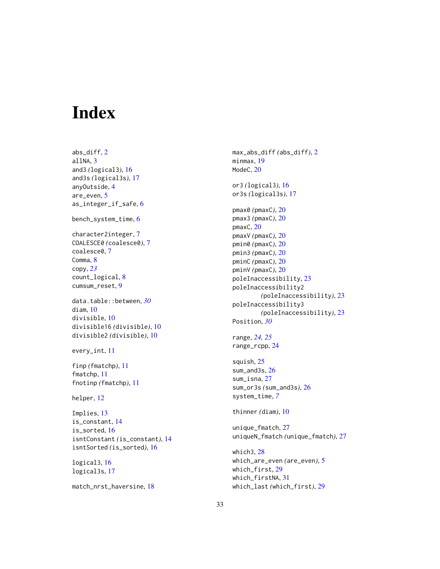# <span id="page-32-0"></span>Index

abs\_diff, [2](#page-1-0) allNA, [3](#page-2-0) and3 *(*logical3*)*, [16](#page-15-0) and3s *(*logical3s*)*, [17](#page-16-0) anyOutside, [4](#page-3-0) are\_even, [5](#page-4-0) as\_integer\_if\_safe, [6](#page-5-0) bench\_system\_time, [6](#page-5-0) character2integer, [7](#page-6-0) COALESCE0 *(*coalesce0*)*, [7](#page-6-0) coalesce0, [7](#page-6-0) Comma, [8](#page-7-0) copy, *[23](#page-22-0)* count\_logical, [8](#page-7-0) cumsum\_reset, [9](#page-8-0) data.table::between, *[30](#page-29-0)* diam, [10](#page-9-0) divisible, [10](#page-9-0) divisible16 *(*divisible*)*, [10](#page-9-0) divisible2 *(*divisible*)*, [10](#page-9-0) every\_int, [11](#page-10-0) finp *(*fmatchp*)*, [11](#page-10-0) fmatchp, [11](#page-10-0) fnotinp *(*fmatchp*)*, [11](#page-10-0) helper, [12](#page-11-0) Implies, [13](#page-12-0) is\_constant, [14](#page-13-0) is\_sorted, [16](#page-15-0) isntConstant *(*is\_constant*)*, [14](#page-13-0) isntSorted *(*is\_sorted*)*, [16](#page-15-0) logical3, [16](#page-15-0) logical3s, [17](#page-16-0) match\_nrst\_haversine, [18](#page-17-0)

max\_abs\_diff *(*abs\_diff*)*, [2](#page-1-0) minmax, [19](#page-18-0) ModeC, [20](#page-19-0) or3 *(*logical3*)*, [16](#page-15-0) or3s *(*logical3s*)*, [17](#page-16-0) pmax0 *(*pmaxC*)*, [20](#page-19-0) pmax3 *(*pmaxC*)*, [20](#page-19-0) pmaxC, [20](#page-19-0) pmaxV *(*pmaxC*)*, [20](#page-19-0) pmin0 *(*pmaxC*)*, [20](#page-19-0) pmin3 *(*pmaxC*)*, [20](#page-19-0) pminC *(*pmaxC*)*, [20](#page-19-0) pminV *(*pmaxC*)*, [20](#page-19-0) poleInaccessibility, [23](#page-22-0) poleInaccessibility2 *(*poleInaccessibility*)*, [23](#page-22-0) poleInaccessibility3 *(*poleInaccessibility*)*, [23](#page-22-0) Position, *[30](#page-29-0)* range, *[24,](#page-23-0) [25](#page-24-0)* range\_rcpp, [24](#page-23-0) squish, [25](#page-24-0) sum\_and3s, [26](#page-25-0) sum\_isna, [27](#page-26-0) sum\_or3s *(*sum\_and3s*)*, [26](#page-25-0) system\_time, *[7](#page-6-0)* thinner *(*diam*)*, [10](#page-9-0) unique\_fmatch, [27](#page-26-0) uniqueN\_fmatch *(*unique\_fmatch*)*, [27](#page-26-0) which3, [28](#page-27-0) which\_are\_even *(*are\_even*)*, [5](#page-4-0) which\_first, [29](#page-28-0) which\_firstNA, [31](#page-30-0) which\_last *(*which\_first*)*, [29](#page-28-0)